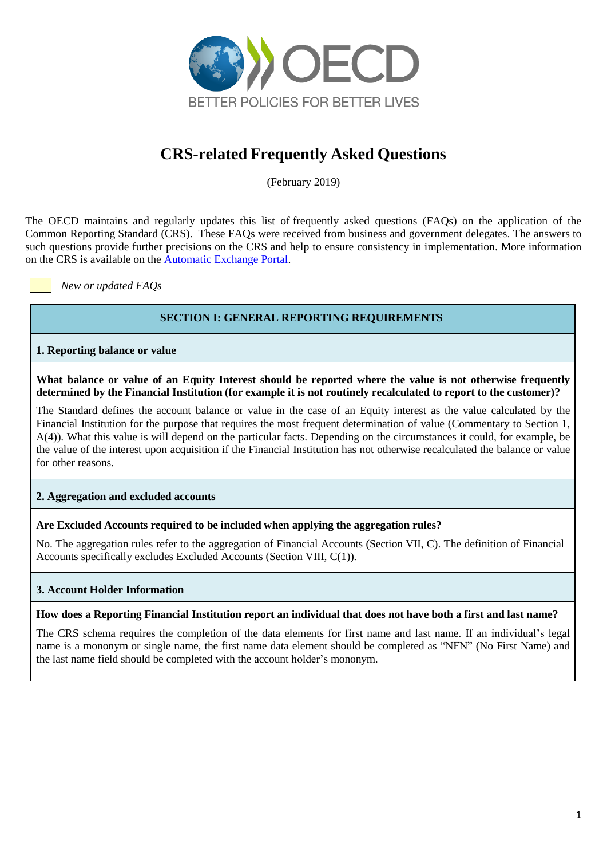

# **CRS-related Frequently Asked Questions**

(February 2019)

The OECD maintains and regularly updates this list of frequently asked questions (FAQs) on the application of the Common Reporting Standard (CRS). These FAQs were received from business and government delegates. The answers to such questions provide further precisions on the CRS and help to ensure consistency in implementation. More information on the CRS is available on the [Automatic Exchange Portal.](http://www.oecd.org/tax/automatic-exchange/common-reporting-standard/)

*New or updated FAQs*

# **SECTION I: GENERAL REPORTING REQUIREMENTS**

**1. Reporting balance or value**

**What balance or value of an Equity Interest should be reported where the value is not otherwise frequently determined by the Financial Institution (for example it is not routinely recalculated to report to the customer)?**

The Standard defines the account balance or value in the case of an Equity interest as the value calculated by the Financial Institution for the purpose that requires the most frequent determination of value (Commentary to Section 1, A(4)). What this value is will depend on the particular facts. Depending on the circumstances it could, for example, be the value of the interest upon acquisition if the Financial Institution has not otherwise recalculated the balance or value for other reasons.

**2. Aggregation and excluded accounts**

# **Are Excluded Accounts required to be included when applying the aggregation rules?**

No. The aggregation rules refer to the aggregation of Financial Accounts (Section VII, C). The definition of Financial Accounts specifically excludes Excluded Accounts (Section VIII, C(1)).

# **3. Account Holder Information**

# **How does a Reporting Financial Institution report an individual that does not have both a first and last name?**

The CRS schema requires the completion of the data elements for first name and last name. If an individual's legal name is a mononym or single name, the first name data element should be completed as "NFN" (No First Name) and the last name field should be completed with the account holder's mononym.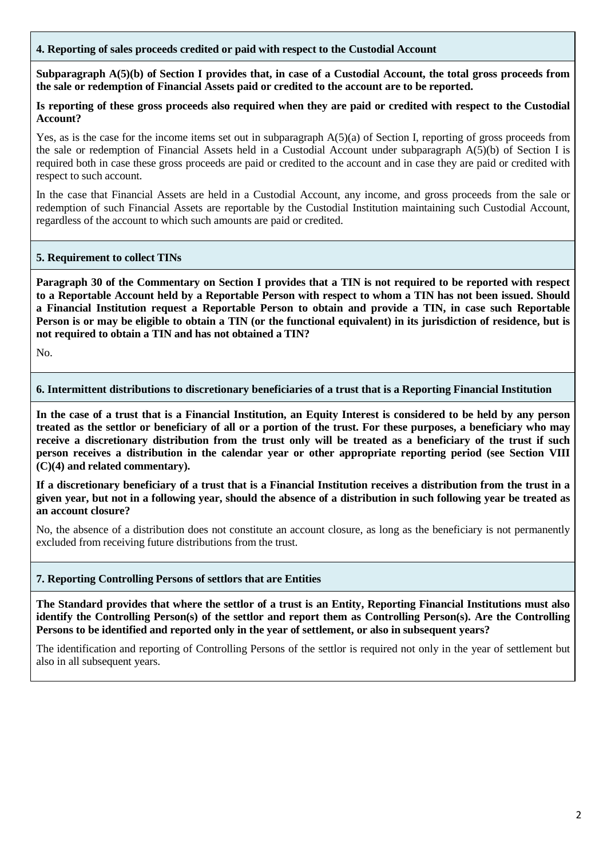# **4. Reporting of sales proceeds credited or paid with respect to the Custodial Account**

Subparagraph A(5)(b) of Section I provides that, in case of a Custodial Account, the total gross proceeds from **the sale or redemption of Financial Assets paid or credited to the account are to be reported.**

## Is reporting of these gross proceeds also required when they are paid or credited with respect to the Custodial **Account?**

Yes, as is the case for the income items set out in subparagraph A(5)(a) of Section I, reporting of gross proceeds from the sale or redemption of Financial Assets held in a Custodial Account under subparagraph A(5)(b) of Section I is required both in case these gross proceeds are paid or credited to the account and in case they are paid or credited with respect to such account.

In the case that Financial Assets are held in a Custodial Account, any income, and gross proceeds from the sale or redemption of such Financial Assets are reportable by the Custodial Institution maintaining such Custodial Account, regardless of the account to which such amounts are paid or credited.

## **5. Requirement to collect TINs**

Paragraph 30 of the Commentary on Section I provides that a TIN is not required to be reported with respect to a Reportable Account held by a Reportable Person with respect to whom a TIN has not been issued. Should **a Financial Institution request a Reportable Person to obtain and provide a TIN, in case such Reportable** Person is or may be eligible to obtain a TIN (or the functional equivalent) in its jurisdiction of residence, but is **not required to obtain a TIN and has not obtained a TIN?**

No.

## **6. Intermittent distributions to discretionary beneficiaries of a trust that is a Reporting Financial Institution**

In the case of a trust that is a Financial Institution, an Equity Interest is considered to be held by any person treated as the settlor or beneficiary of all or a portion of the trust. For these purposes, a beneficiary who may receive a discretionary distribution from the trust only will be treated as a beneficiary of the trust if such **person receives a distribution in the calendar year or other appropriate reporting period (see Section VIII (C)(4) and related commentary).**

If a discretionary beneficiary of a trust that is a Financial Institution receives a distribution from the trust in a given year, but not in a following year, should the absence of a distribution in such following year be treated as **an account closure?**

No, the absence of a distribution does not constitute an account closure, as long as the beneficiary is not permanently excluded from receiving future distributions from the trust.

#### **7. Reporting Controlling Persons of settlors that are Entities**

The Standard provides that where the settlor of a trust is an Entity, Reporting Financial Institutions must also **identify the Controlling Person(s) of the settlor and report them as Controlling Person(s). Are the Controlling Persons to be identified and reported only in the year of settlement, or also in subsequent years?**

The identification and reporting of Controlling Persons of the settlor is required not only in the year of settlement but also in all subsequent years.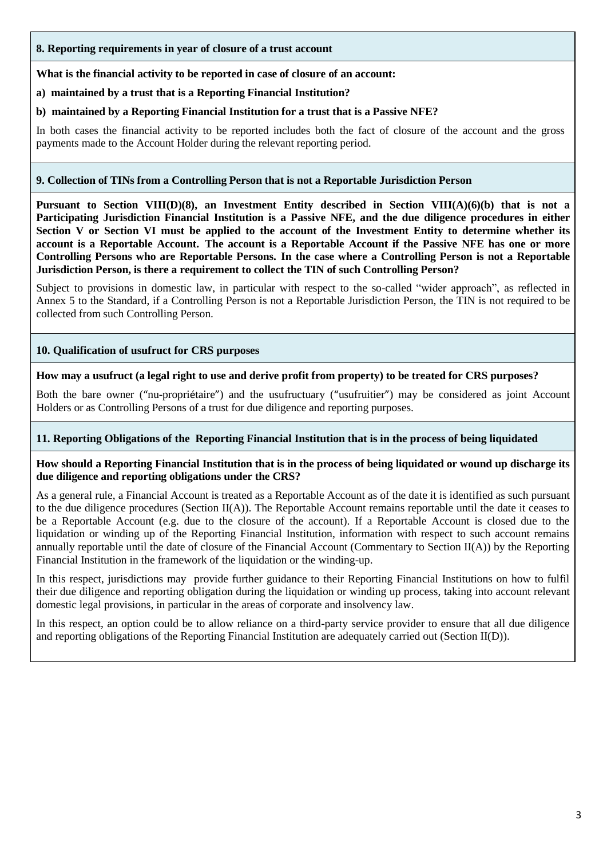**8. Reporting requirements in year of closure of a trust account**

## **What is the financial activity to be reported in case of closure of an account:**

**a) maintained by a trust that is a Reporting Financial Institution?**

## **b) maintained by a Reporting Financial Institution for a trust that is a Passive NFE?**

In both cases the financial activity to be reported includes both the fact of closure of the account and the gross payments made to the Account Holder during the relevant reporting period.

# **9. Collection of TINs from a Controlling Person that is not a Reportable Jurisdiction Person**

**Pursuant to Section VIII(D)(8), an Investment Entity described in Section VIII(A)(6)(b) that is not a Participating Jurisdiction Financial Institution is a Passive NFE, and the due diligence procedures in either** Section V or Section VI must be applied to the account of the Investment Entity to determine whether its account is a Reportable Account. The account is a Reportable Account if the Passive NFE has one or more Controlling Persons who are Reportable Persons. In the case where a Controlling Person is not a Reportable **Jurisdiction Person, is there a requirement to collect the TIN of such Controlling Person?**

Subject to provisions in domestic law, in particular with respect to the so-called "wider approach", as reflected in Annex 5 to the Standard, if a Controlling Person is not a Reportable Jurisdiction Person, the TIN is not required to be collected from such Controlling Person.

# **10. Qualification of usufruct for CRS purposes**

#### **How may a usufruct (a legal right to use and derive profit from property) to be treated for CRS purposes?**

Both the bare owner ("nu-propriétaire") and the usufructuary ("usufruitier") may be considered as joint Account Holders or as Controlling Persons of a trust for due diligence and reporting purposes.

#### **11. Reporting Obligations of the Reporting Financial Institution that is in the process of being liquidated**

#### **How should a Reporting Financial Institution that is in the process of being liquidated or wound up discharge its due diligence and reporting obligations under the CRS?**

As a general rule, a Financial Account is treated as a Reportable Account as of the date it is identified as such pursuant to the due diligence procedures (Section  $II(A)$ ). The Reportable Account remains reportable until the date it ceases to be a Reportable Account (e.g. due to the closure of the account). If a Reportable Account is closed due to the liquidation or winding up of the Reporting Financial Institution, information with respect to such account remains annually reportable until the date of closure of the Financial Account (Commentary to Section II(A)) by the Reporting Financial Institution in the framework of the liquidation or the winding-up.

In this respect, jurisdictions may provide further guidance to their Reporting Financial Institutions on how to fulfil their due diligence and reporting obligation during the liquidation or winding up process, taking into account relevant domestic legal provisions, in particular in the areas of corporate and insolvency law.

In this respect, an option could be to allow reliance on a third-party service provider to ensure that all due diligence and reporting obligations of the Reporting Financial Institution are adequately carried out (Section II(D)).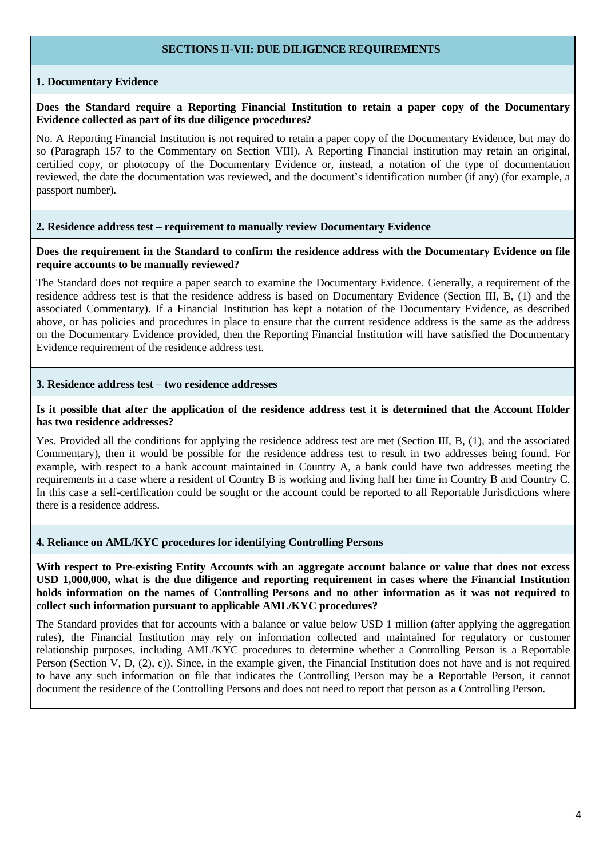# **SECTIONS II-VII: DUE DILIGENCE REQUIREMENTS**

## **1. Documentary Evidence**

#### **Does the Standard require a Reporting Financial Institution to retain a paper copy of the Documentary Evidence collected as part of its due diligence procedures?**

No. A Reporting Financial Institution is not required to retain a paper copy of the Documentary Evidence, but may do so (Paragraph 157 to the Commentary on Section VIII). A Reporting Financial institution may retain an original, certified copy, or photocopy of the Documentary Evidence or, instead, a notation of the type of documentation reviewed, the date the documentation was reviewed, and the document's identification number (if any) (for example, a passport number).

#### **2. Residence address test – requirement to manually review Documentary Evidence**

#### Does the requirement in the Standard to confirm the residence address with the Documentary Evidence on file **require accounts to be manually reviewed?**

The Standard does not require a paper search to examine the Documentary Evidence. Generally, a requirement of the residence address test is that the residence address is based on Documentary Evidence (Section III, B, (1) and the associated Commentary). If a Financial Institution has kept a notation of the Documentary Evidence, as described above, or has policies and procedures in place to ensure that the current residence address is the same as the address on the Documentary Evidence provided, then the Reporting Financial Institution will have satisfied the Documentary Evidence requirement of the residence address test.

#### **3. Residence address test – two residence addresses**

## Is it possible that after the application of the residence address test it is determined that the Account Holder **has two residence addresses?**

Yes. Provided all the conditions for applying the residence address test are met (Section III, B, (1), and the associated Commentary), then it would be possible for the residence address test to result in two addresses being found. For example, with respect to a bank account maintained in Country A, a bank could have two addresses meeting the requirements in a case where a resident of Country B is working and living half her time in Country B and Country C. In this case a self-certification could be sought or the account could be reported to all Reportable Jurisdictions where there is a residence address.

#### **4. Reliance on AML/KYC procedures for identifying Controlling Persons**

With respect to Pre-existing Entity Accounts with an aggregate account balance or value that does not excess **USD 1,000,000, what is the due diligence and reporting requirement in cases where the Financial Institution** holds information on the names of Controlling Persons and no other information as it was not required to **collect such information pursuant to applicable AML/KYC procedures?**

The Standard provides that for accounts with a balance or value below USD 1 million (after applying the aggregation rules), the Financial Institution may rely on information collected and maintained for regulatory or customer relationship purposes, including AML/KYC procedures to determine whether a Controlling Person is a Reportable Person (Section V, D, (2), c)). Since, in the example given, the Financial Institution does not have and is not required to have any such information on file that indicates the Controlling Person may be a Reportable Person, it cannot document the residence of the Controlling Persons and does not need to report that person as a Controlling Person.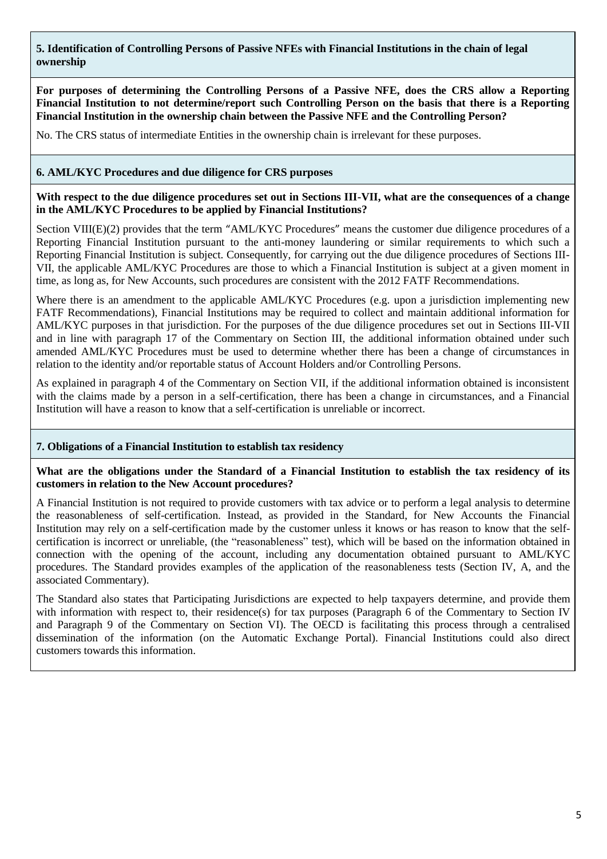# **5. Identification of Controlling Persons of Passive NFEs with Financial Institutions in the chain of legal ownership**

**For purposes of determining the Controlling Persons of a Passive NFE, does the CRS allow a Reporting Financial Institution to not determine/report such Controlling Person on the basis that there is a Reporting Financial Institution in the ownership chain between the Passive NFE and the Controlling Person?**

No. The CRS status of intermediate Entities in the ownership chain is irrelevant for these purposes.

## **6. AML/KYC Procedures and due diligence for CRS purposes**

**With respect to the due diligence procedures set out in Sections III-VII, what are the consequences of a change in the AML/KYC Procedures to be applied by Financial Institutions?**

Section VIII(E)(2) provides that the term "AML/KYC Procedures" means the customer due diligence procedures of a Reporting Financial Institution pursuant to the anti-money laundering or similar requirements to which such a Reporting Financial Institution is subject. Consequently, for carrying out the due diligence procedures of Sections III-VII, the applicable AML/KYC Procedures are those to which a Financial Institution is subject at a given moment in time, as long as, for New Accounts, such procedures are consistent with the 2012 FATF Recommendations.

Where there is an amendment to the applicable AML/KYC Procedures (e.g. upon a jurisdiction implementing new FATF Recommendations), Financial Institutions may be required to collect and maintain additional information for AML/KYC purposes in that jurisdiction. For the purposes of the due diligence procedures set out in Sections III-VII and in line with paragraph 17 of the Commentary on Section III, the additional information obtained under such amended AML/KYC Procedures must be used to determine whether there has been a change of circumstances in relation to the identity and/or reportable status of Account Holders and/or Controlling Persons.

As explained in paragraph 4 of the Commentary on Section VII, if the additional information obtained is inconsistent with the claims made by a person in a self-certification, there has been a change in circumstances, and a Financial Institution will have a reason to know that a self-certification is unreliable or incorrect.

#### **7. Obligations of a Financial Institution to establish tax residency**

What are the obligations under the Standard of a Financial Institution to establish the tax residency of its **customers in relation to the New Account procedures?**

A Financial Institution is not required to provide customers with tax advice or to perform a legal analysis to determine the reasonableness of self-certification. Instead, as provided in the Standard, for New Accounts the Financial Institution may rely on a self-certification made by the customer unless it knows or has reason to know that the selfcertification is incorrect or unreliable, (the "reasonableness" test), which will be based on the information obtained in connection with the opening of the account, including any documentation obtained pursuant to AML/KYC procedures. The Standard provides examples of the application of the reasonableness tests (Section IV, A, and the associated Commentary).

The Standard also states that Participating Jurisdictions are expected to help taxpayers determine, and provide them with information with respect to, their residence(s) for tax purposes (Paragraph 6 of the Commentary to Section IV and Paragraph 9 of the Commentary on Section VI). The OECD is facilitating this process through a centralised dissemination of the information (on the Automatic Exchange Portal). Financial Institutions could also direct customers towards this information.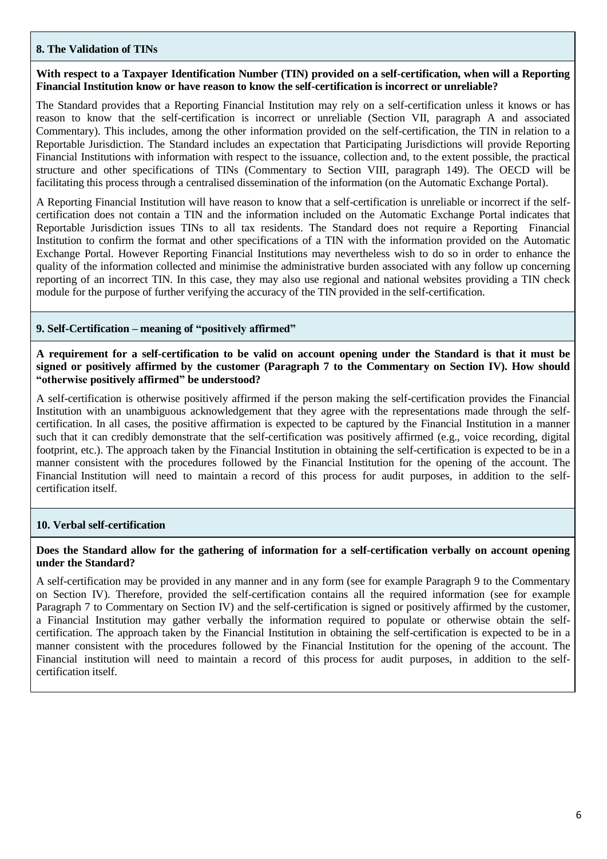## **8. The Validation of TINs**

## **With respect to a Taxpayer Identification Number (TIN) provided on a self-certification, when will a Reporting Financial Institution know or have reason to know the self-certification is incorrect or unreliable?**

The Standard provides that a Reporting Financial Institution may rely on a self-certification unless it knows or has reason to know that the self-certification is incorrect or unreliable (Section VII, paragraph A and associated Commentary). This includes, among the other information provided on the self-certification, the TIN in relation to a Reportable Jurisdiction. The Standard includes an expectation that Participating Jurisdictions will provide Reporting Financial Institutions with information with respect to the issuance, collection and, to the extent possible, the practical structure and other specifications of TINs (Commentary to Section VIII, paragraph 149). The OECD will be facilitating this process through a centralised dissemination of the information (on the Automatic Exchange Portal).

A Reporting Financial Institution will have reason to know that a self-certification is unreliable or incorrect if the selfcertification does not contain a TIN and the information included on the Automatic Exchange Portal indicates that Reportable Jurisdiction issues TINs to all tax residents. The Standard does not require a Reporting Financial Institution to confirm the format and other specifications of a TIN with the information provided on the Automatic Exchange Portal. However Reporting Financial Institutions may nevertheless wish to do so in order to enhance the quality of the information collected and minimise the administrative burden associated with any follow up concerning reporting of an incorrect TIN. In this case, they may also use regional and national websites providing a TIN check module for the purpose of further verifying the accuracy of the TIN provided in the self-certification.

## **9. Self-Certification – meaning of "positively affirmed"**

## A requirement for a self-certification to be valid on account opening under the Standard is that it must be **signed or positively affirmed by the customer (Paragraph 7 to the Commentary on Section IV). How should "otherwise positively affirmed" be understood?**

A self-certification is otherwise positively affirmed if the person making the self-certification provides the Financial Institution with an unambiguous acknowledgement that they agree with the representations made through the selfcertification. In all cases, the positive affirmation is expected to be captured by the Financial Institution in a manner such that it can credibly demonstrate that the self-certification was positively affirmed (e.g., voice recording, digital footprint, etc.). The approach taken by the Financial Institution in obtaining the self-certification is expected to be in a manner consistent with the procedures followed by the Financial Institution for the opening of the account. The Financial Institution will need to maintain a record of this process for audit purposes, in addition to the selfcertification itself.

#### **10. Verbal self-certification**

#### **Does the Standard allow for the gathering of information for a self-certification verbally on account opening under the Standard?**

A self-certification may be provided in any manner and in any form (see for example Paragraph 9 to the Commentary on Section IV). Therefore, provided the self-certification contains all the required information (see for example Paragraph 7 to Commentary on Section IV) and the self-certification is signed or positively affirmed by the customer, a Financial Institution may gather verbally the information required to populate or otherwise obtain the selfcertification. The approach taken by the Financial Institution in obtaining the self-certification is expected to be in a manner consistent with the procedures followed by the Financial Institution for the opening of the account. The Financial institution will need to maintain a record of this process for audit purposes, in addition to the selfcertification itself.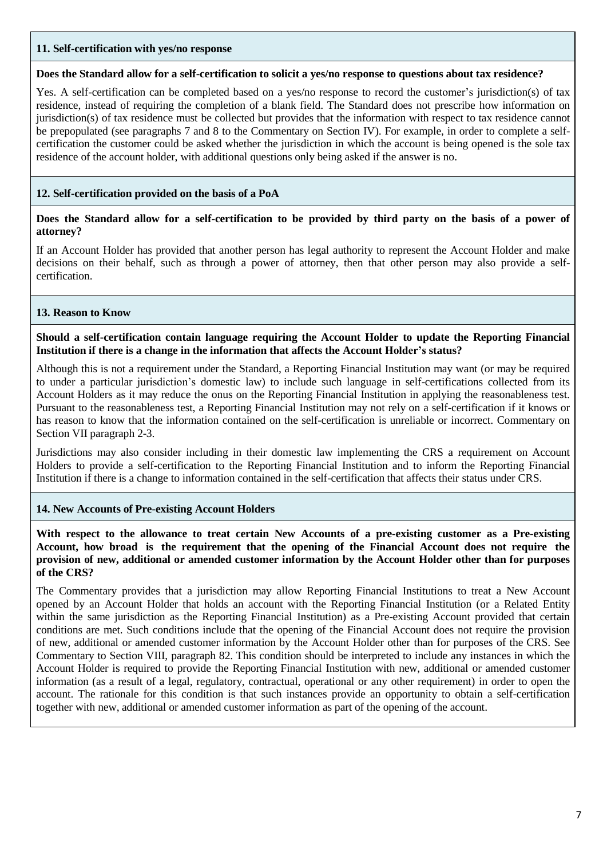## **11. Self-certification with yes/no response**

#### **Does the Standard allow for a self-certification to solicit a yes/no response to questions about tax residence?**

Yes. A self-certification can be completed based on a yes/no response to record the customer's jurisdiction(s) of tax residence, instead of requiring the completion of a blank field. The Standard does not prescribe how information on jurisdiction(s) of tax residence must be collected but provides that the information with respect to tax residence cannot be prepopulated (see paragraphs 7 and 8 to the Commentary on Section IV). For example, in order to complete a selfcertification the customer could be asked whether the jurisdiction in which the account is being opened is the sole tax residence of the account holder, with additional questions only being asked if the answer is no.

## **12. Self-certification provided on the basis of a PoA**

## Does the Standard allow for a self-certification to be provided by third party on the basis of a power of **attorney?**

If an Account Holder has provided that another person has legal authority to represent the Account Holder and make decisions on their behalf, such as through a power of attorney, then that other person may also provide a selfcertification.

## **13. Reason to Know**

**Should a self-certification contain language requiring the Account Holder to update the Reporting Financial Institution if there is a change in the information that affects the Account Holder's status?**

Although this is not a requirement under the Standard, a Reporting Financial Institution may want (or may be required to under a particular jurisdiction's domestic law) to include such language in self-certifications collected from its Account Holders as it may reduce the onus on the Reporting Financial Institution in applying the reasonableness test. Pursuant to the reasonableness test, a Reporting Financial Institution may not rely on a self-certification if it knows or has reason to know that the information contained on the self-certification is unreliable or incorrect. Commentary on Section VII paragraph 2-3.

Jurisdictions may also consider including in their domestic law implementing the CRS a requirement on Account Holders to provide a self-certification to the Reporting Financial Institution and to inform the Reporting Financial Institution if there is a change to information contained in the self-certification that affects their status under CRS.

#### **14. New Accounts of Pre-existing Account Holders**

**With respect to the allowance to treat certain New Accounts of a pre-existing customer as a Pre-existing Account, how broad is the requirement that the opening of the Financial Account does not require the provision of new, additional or amended customer information by the Account Holder other than for purposes of the CRS?**

The Commentary provides that a jurisdiction may allow Reporting Financial Institutions to treat a New Account opened by an Account Holder that holds an account with the Reporting Financial Institution (or a Related Entity within the same jurisdiction as the Reporting Financial Institution) as a Pre-existing Account provided that certain conditions are met. Such conditions include that the opening of the Financial Account does not require the provision of new, additional or amended customer information by the Account Holder other than for purposes of the CRS. See Commentary to Section VIII, paragraph 82. This condition should be interpreted to include any instances in which the Account Holder is required to provide the Reporting Financial Institution with new, additional or amended customer information (as a result of a legal, regulatory, contractual, operational or any other requirement) in order to open the account. The rationale for this condition is that such instances provide an opportunity to obtain a self-certification together with new, additional or amended customer information as part of the opening of the account.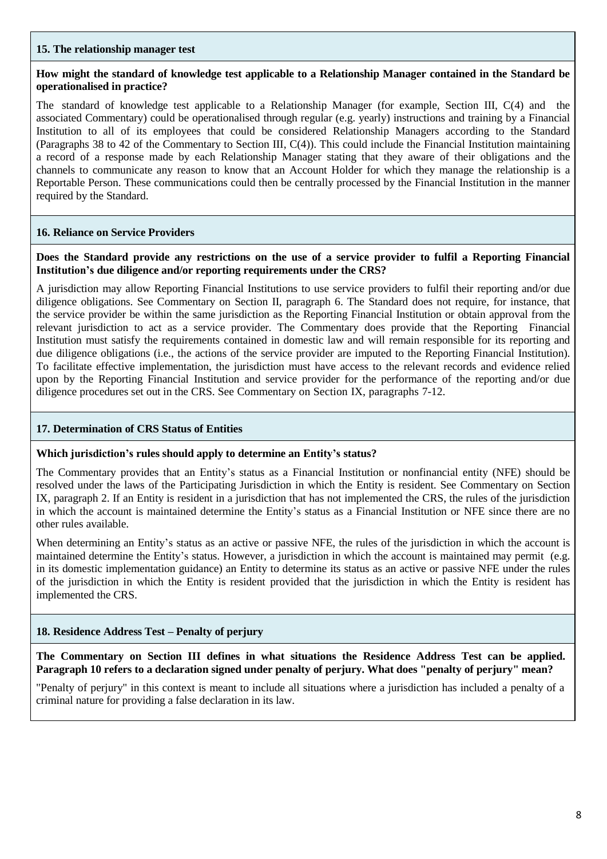## **15. The relationship manager test**

## How might the standard of knowledge test applicable to a Relationship Manager contained in the Standard be **operationalised in practice?**

The standard of knowledge test applicable to a Relationship Manager (for example, Section III, C(4) and the associated Commentary) could be operationalised through regular (e.g. yearly) instructions and training by a Financial Institution to all of its employees that could be considered Relationship Managers according to the Standard (Paragraphs 38 to 42 of the Commentary to Section III, C(4)). This could include the Financial Institution maintaining a record of a response made by each Relationship Manager stating that they aware of their obligations and the channels to communicate any reason to know that an Account Holder for which they manage the relationship is a Reportable Person. These communications could then be centrally processed by the Financial Institution in the manner required by the Standard.

## **16. Reliance on Service Providers**

## Does the Standard provide any restrictions on the use of a service provider to fulfil a Reporting Financial **Institution's due diligence and/or reporting requirements under the CRS?**

A jurisdiction may allow Reporting Financial Institutions to use service providers to fulfil their reporting and/or due diligence obligations. See Commentary on Section II, paragraph 6. The Standard does not require, for instance, that the service provider be within the same jurisdiction as the Reporting Financial Institution or obtain approval from the relevant jurisdiction to act as a service provider. The Commentary does provide that the Reporting Financial Institution must satisfy the requirements contained in domestic law and will remain responsible for its reporting and due diligence obligations (i.e., the actions of the service provider are imputed to the Reporting Financial Institution). To facilitate effective implementation, the jurisdiction must have access to the relevant records and evidence relied upon by the Reporting Financial Institution and service provider for the performance of the reporting and/or due diligence procedures set out in the CRS. See Commentary on Section IX, paragraphs 7-12.

## **17. Determination of CRS Status of Entities**

#### **Which jurisdiction's rules should apply to determine an Entity's status?**

The Commentary provides that an Entity's status as a Financial Institution or nonfinancial entity (NFE) should be resolved under the laws of the Participating Jurisdiction in which the Entity is resident. See Commentary on Section IX, paragraph 2. If an Entity is resident in a jurisdiction that has not implemented the CRS, the rules of the jurisdiction in which the account is maintained determine the Entity's status as a Financial Institution or NFE since there are no other rules available.

When determining an Entity's status as an active or passive NFE, the rules of the jurisdiction in which the account is maintained determine the Entity's status. However, a jurisdiction in which the account is maintained may permit (e.g. in its domestic implementation guidance) an Entity to determine its status as an active or passive NFE under the rules of the jurisdiction in which the Entity is resident provided that the jurisdiction in which the Entity is resident has implemented the CRS.

# **18. Residence Address Test – Penalty of perjury**

**The Commentary on Section III defines in what situations the Residence Address Test can be applied. Paragraph 10 refers to a declaration signed under penalty of perjury. What does "penalty of perjury" mean?**

"Penalty of perjury" in this context is meant to include all situations where a jurisdiction has included a penalty of a criminal nature for providing a false declaration in its law.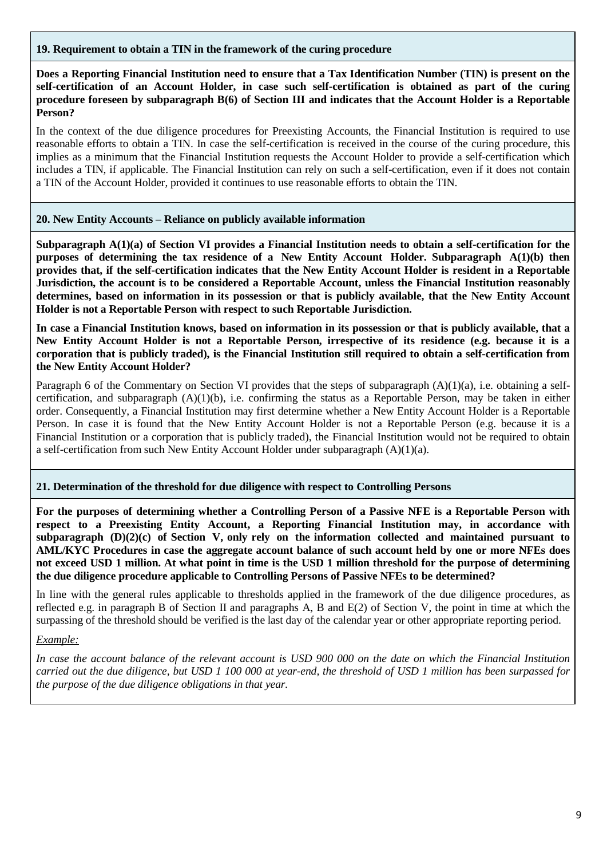## **19. Requirement to obtain a TIN in the framework of the curing procedure**

Does a Reporting Financial Institution need to ensure that a Tax Identification Number (TIN) is present on the **self-certification of an Account Holder, in case such self-certification is obtained as part of the curing** procedure foreseen by subparagraph B(6) of Section III and indicates that the Account Holder is a Reportable **Person?**

In the context of the due diligence procedures for Preexisting Accounts, the Financial Institution is required to use reasonable efforts to obtain a TIN. In case the self-certification is received in the course of the curing procedure, this implies as a minimum that the Financial Institution requests the Account Holder to provide a self-certification which includes a TIN, if applicable. The Financial Institution can rely on such a self-certification, even if it does not contain a TIN of the Account Holder, provided it continues to use reasonable efforts to obtain the TIN.

## **20. New Entity Accounts – Reliance on publicly available information**

**Subparagraph A(1)(a) of Section VI provides a Financial Institution needs to obtain a self-certification for the purposes of determining the tax residence of a New Entity Account Holder. Subparagraph A(1)(b) then** provides that, if the self-certification indicates that the New Entity Account Holder is resident in a Reportable **Jurisdiction, the account is to be considered a Reportable Account, unless the Financial Institution reasonably** determines, based on information in its possession or that is publicly available, that the New Entity Account **Holder is not a Reportable Person with respect to such Reportable Jurisdiction.**

In case a Financial Institution knows, based on information in its possession or that is publicly available, that a New Entity Account Holder is not a Reportable Person, irrespective of its residence (e.g. because it is a corporation that is publicly traded), is the Financial Institution still required to obtain a self-certification from **the New Entity Account Holder?**

Paragraph 6 of the Commentary on Section VI provides that the steps of subparagraph (A)(1)(a), i.e. obtaining a selfcertification, and subparagraph  $(A)(1)(b)$ , i.e. confirming the status as a Reportable Person, may be taken in either order. Consequently, a Financial Institution may first determine whether a New Entity Account Holder is a Reportable Person. In case it is found that the New Entity Account Holder is not a Reportable Person (e.g. because it is a Financial Institution or a corporation that is publicly traded), the Financial Institution would not be required to obtain a self-certification from such New Entity Account Holder under subparagraph (A)(1)(a).

# **21. Determination of the threshold for due diligence with respect to Controlling Persons**

For the purposes of determining whether a Controlling Person of a Passive NFE is a Reportable Person with **respect to a Preexisting Entity Account, a Reporting Financial Institution may, in accordance with subparagraph (D)(2)(c) of Section V, only rely on the information collected and maintained pursuant to** AML/KYC Procedures in case the aggregate account balance of such account held by one or more NFEs does not exceed USD 1 million. At what point in time is the USD 1 million threshold for the purpose of determining **the due diligence procedure applicable to Controlling Persons of Passive NFEs to be determined?**

In line with the general rules applicable to thresholds applied in the framework of the due diligence procedures, as reflected e.g. in paragraph B of Section II and paragraphs A, B and E(2) of Section V, the point in time at which the surpassing of the threshold should be verified is the last day of the calendar year or other appropriate reporting period.

# *Example:*

In case the account balance of the relevant account is USD 900 000 on the date on which the Financial Institution carried out the due diligence, but USD 1 100 000 at year-end, the threshold of USD 1 million has been surpassed for *the purpose of the due diligence obligations in that year.*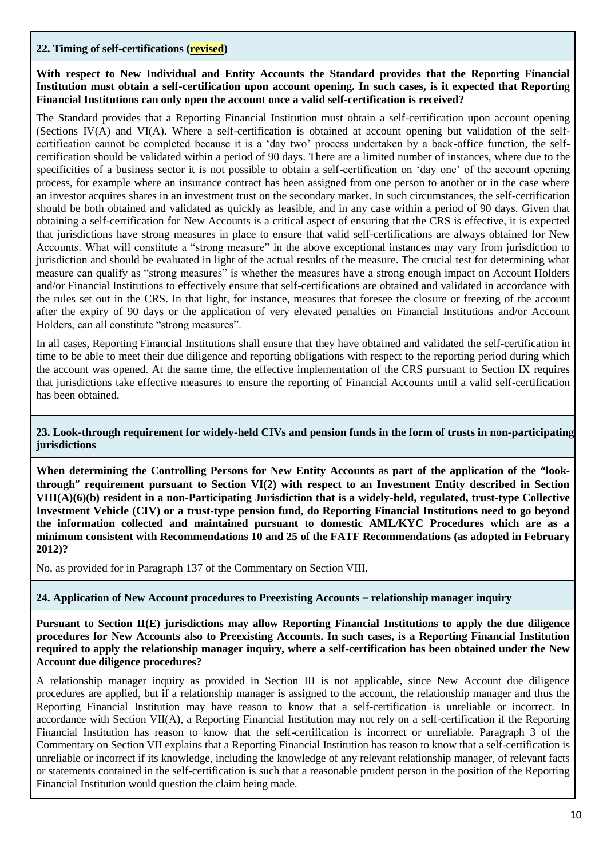## **22. Timing of self-certifications (revised)**

**With respect to New Individual and Entity Accounts the Standard provides that the Reporting Financial Institution must obtain a self-certification upon account opening. In such cases, is it expected that Reporting Financial Institutions can only open the account once a valid self-certification is received?** 

The Standard provides that a Reporting Financial Institution must obtain a self-certification upon account opening (Sections IV(A) and VI(A). Where a self-certification is obtained at account opening but validation of the selfcertification cannot be completed because it is a 'day two' process undertaken by a back-office function, the selfcertification should be validated within a period of 90 days. There are a limited number of instances, where due to the specificities of a business sector it is not possible to obtain a self-certification on 'day one' of the account opening process, for example where an insurance contract has been assigned from one person to another or in the case where an investor acquires shares in an investment trust on the secondary market. In such circumstances, the self-certification should be both obtained and validated as quickly as feasible, and in any case within a period of 90 days. Given that obtaining a self-certification for New Accounts is a critical aspect of ensuring that the CRS is effective, it is expected that jurisdictions have strong measures in place to ensure that valid self-certifications are always obtained for New Accounts. What will constitute a "strong measure" in the above exceptional instances may vary from jurisdiction to jurisdiction and should be evaluated in light of the actual results of the measure. The crucial test for determining what measure can qualify as "strong measures" is whether the measures have a strong enough impact on Account Holders and/or Financial Institutions to effectively ensure that self-certifications are obtained and validated in accordance with the rules set out in the CRS. In that light, for instance, measures that foresee the closure or freezing of the account after the expiry of 90 days or the application of very elevated penalties on Financial Institutions and/or Account Holders, can all constitute "strong measures".

In all cases, Reporting Financial Institutions shall ensure that they have obtained and validated the self-certification in time to be able to meet their due diligence and reporting obligations with respect to the reporting period during which the account was opened. At the same time, the effective implementation of the CRS pursuant to Section IX requires that jurisdictions take effective measures to ensure the reporting of Financial Accounts until a valid self-certification has been obtained.

## **23. Look-through requirement for widely-held CIVs and pension funds in the form of trusts in non-participating jurisdictions**

**When determining the Controlling Persons for New Entity Accounts as part of the application of the "lookthrough" requirement pursuant to Section VI(2) with respect to an Investment Entity described in Section VIII(A)(6)(b) resident in a non-Participating Jurisdiction that is a widely-held, regulated, trust-type Collective Investment Vehicle (CIV) or a trust-type pension fund, do Reporting Financial Institutions need to go beyond the information collected and maintained pursuant to domestic AML/KYC Procedures which are as a minimum consistent with Recommendations 10 and 25 of the FATF Recommendations (as adopted in February 2012)?**

No, as provided for in Paragraph 137 of the Commentary on Section VIII.

#### **24. Application of New Account procedures to Preexisting Accounts – relationship manager inquiry**

**Pursuant to Section II(E) jurisdictions may allow Reporting Financial Institutions to apply the due diligence procedures for New Accounts also to Preexisting Accounts. In such cases, is a Reporting Financial Institution required to apply the relationship manager inquiry, where a self-certification has been obtained under the New Account due diligence procedures?**

A relationship manager inquiry as provided in Section III is not applicable, since New Account due diligence procedures are applied, but if a relationship manager is assigned to the account, the relationship manager and thus the Reporting Financial Institution may have reason to know that a self-certification is unreliable or incorrect. In accordance with Section VII(A), a Reporting Financial Institution may not rely on a self-certification if the Reporting Financial Institution has reason to know that the self-certification is incorrect or unreliable. Paragraph 3 of the Commentary on Section VII explains that a Reporting Financial Institution has reason to know that a self-certification is unreliable or incorrect if its knowledge, including the knowledge of any relevant relationship manager, of relevant facts or statements contained in the self-certification is such that a reasonable prudent person in the position of the Reporting Financial Institution would question the claim being made.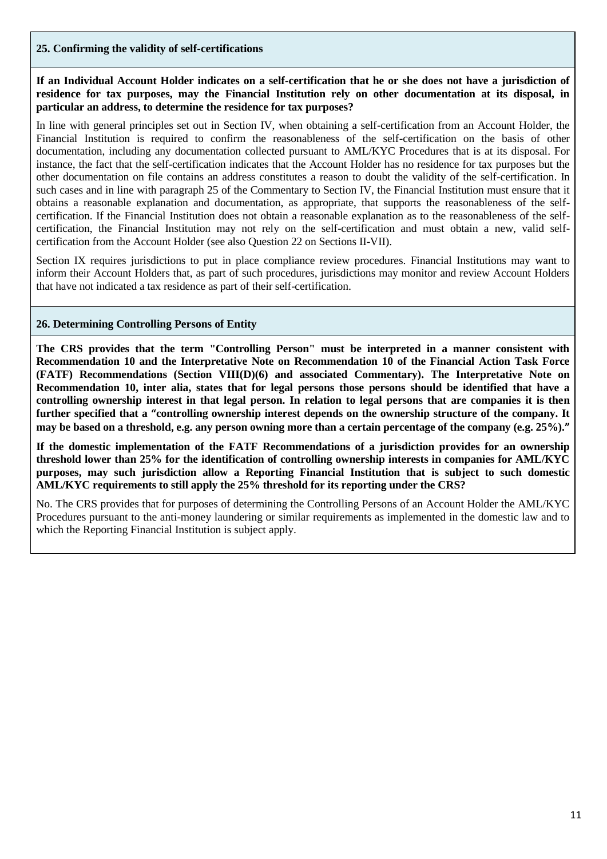# **25. Confirming the validity of self-certifications**

## **If an Individual Account Holder indicates on a self-certification that he or she does not have a jurisdiction of residence for tax purposes, may the Financial Institution rely on other documentation at its disposal, in particular an address, to determine the residence for tax purposes?**

In line with general principles set out in Section IV, when obtaining a self-certification from an Account Holder, the Financial Institution is required to confirm the reasonableness of the self-certification on the basis of other documentation, including any documentation collected pursuant to AML/KYC Procedures that is at its disposal. For instance, the fact that the self-certification indicates that the Account Holder has no residence for tax purposes but the other documentation on file contains an address constitutes a reason to doubt the validity of the self-certification. In such cases and in line with paragraph 25 of the Commentary to Section IV, the Financial Institution must ensure that it obtains a reasonable explanation and documentation, as appropriate, that supports the reasonableness of the selfcertification. If the Financial Institution does not obtain a reasonable explanation as to the reasonableness of the selfcertification, the Financial Institution may not rely on the self-certification and must obtain a new, valid selfcertification from the Account Holder (see also Question 22 on Sections II-VII).

Section IX requires jurisdictions to put in place compliance review procedures. Financial Institutions may want to inform their Account Holders that, as part of such procedures, jurisdictions may monitor and review Account Holders that have not indicated a tax residence as part of their self-certification.

## **26. Determining Controlling Persons of Entity**

**The CRS provides that the term "Controlling Person" must be interpreted in a manner consistent with Recommendation 10 and the Interpretative Note on Recommendation 10 of the Financial Action Task Force (FATF) Recommendations (Section VIII(D)(6) and associated Commentary). The Interpretative Note on Recommendation 10, inter alia, states that for legal persons those persons should be identified that have a controlling ownership interest in that legal person. In relation to legal persons that are companies it is then further specified that a "controlling ownership interest depends on the ownership structure of the company. It may be based on a threshold, e.g. any person owning more than a certain percentage of the company (e.g. 25%)."**

**If the domestic implementation of the FATF Recommendations of a jurisdiction provides for an ownership threshold lower than 25% for the identification of controlling ownership interests in companies for AML/KYC purposes, may such jurisdiction allow a Reporting Financial Institution that is subject to such domestic AML/KYC requirements to still apply the 25% threshold for its reporting under the CRS?**

No. The CRS provides that for purposes of determining the Controlling Persons of an Account Holder the AML/KYC Procedures pursuant to the anti-money laundering or similar requirements as implemented in the domestic law and to which the Reporting Financial Institution is subject apply.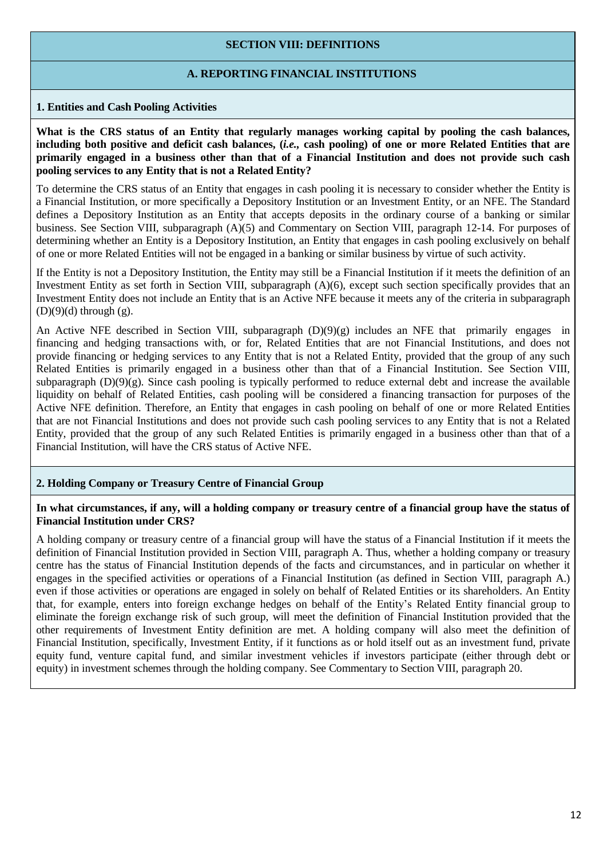## **SECTION VIII: DEFINITIONS**

## **A. REPORTING FINANCIAL INSTITUTIONS**

## **1. Entities and Cash Pooling Activities**

What is the CRS status of an Entity that regularly manages working capital by pooling the cash balances, including both positive and deficit cash balances, (i.e., cash pooling) of one or more Related Entities that are primarily engaged in a business other than that of a Financial Institution and does not provide such cash **pooling services to any Entity that is not a Related Entity?**

To determine the CRS status of an Entity that engages in cash pooling it is necessary to consider whether the Entity is a Financial Institution, or more specifically a Depository Institution or an Investment Entity, or an NFE. The Standard defines a Depository Institution as an Entity that accepts deposits in the ordinary course of a banking or similar business. See Section VIII, subparagraph (A)(5) and Commentary on Section VIII, paragraph 12-14. For purposes of determining whether an Entity is a Depository Institution, an Entity that engages in cash pooling exclusively on behalf of one or more Related Entities will not be engaged in a banking or similar business by virtue of such activity.

If the Entity is not a Depository Institution, the Entity may still be a Financial Institution if it meets the definition of an Investment Entity as set forth in Section VIII, subparagraph (A)(6), except such section specifically provides that an Investment Entity does not include an Entity that is an Active NFE because it meets any of the criteria in subparagraph  $(D)(9)(d)$  through  $(g)$ .

An Active NFE described in Section VIII, subparagraph (D)(9)(g) includes an NFE that primarily engages in financing and hedging transactions with, or for, Related Entities that are not Financial Institutions, and does not provide financing or hedging services to any Entity that is not a Related Entity, provided that the group of any such Related Entities is primarily engaged in a business other than that of a Financial Institution. See Section VIII, subparagraph (D)(9)(g). Since cash pooling is typically performed to reduce external debt and increase the available liquidity on behalf of Related Entities, cash pooling will be considered a financing transaction for purposes of the Active NFE definition. Therefore, an Entity that engages in cash pooling on behalf of one or more Related Entities that are not Financial Institutions and does not provide such cash pooling services to any Entity that is not a Related Entity, provided that the group of any such Related Entities is primarily engaged in a business other than that of a Financial Institution, will have the CRS status of Active NFE.

# **2. Holding Company or Treasury Centre of Financial Group**

#### In what circumstances, if any, will a holding company or treasury centre of a financial group have the status of **Financial Institution under CRS?**

A holding company or treasury centre of a financial group will have the status of a Financial Institution if it meets the definition of Financial Institution provided in Section VIII, paragraph A. Thus, whether a holding company or treasury centre has the status of Financial Institution depends of the facts and circumstances, and in particular on whether it engages in the specified activities or operations of a Financial Institution (as defined in Section VIII, paragraph A.) even if those activities or operations are engaged in solely on behalf of Related Entities or its shareholders. An Entity that, for example, enters into foreign exchange hedges on behalf of the Entity's Related Entity financial group to eliminate the foreign exchange risk of such group, will meet the definition of Financial Institution provided that the other requirements of Investment Entity definition are met. A holding company will also meet the definition of Financial Institution, specifically, Investment Entity, if it functions as or hold itself out as an investment fund, private equity fund, venture capital fund, and similar investment vehicles if investors participate (either through debt or equity) in investment schemes through the holding company. See Commentary to Section VIII, paragraph 20.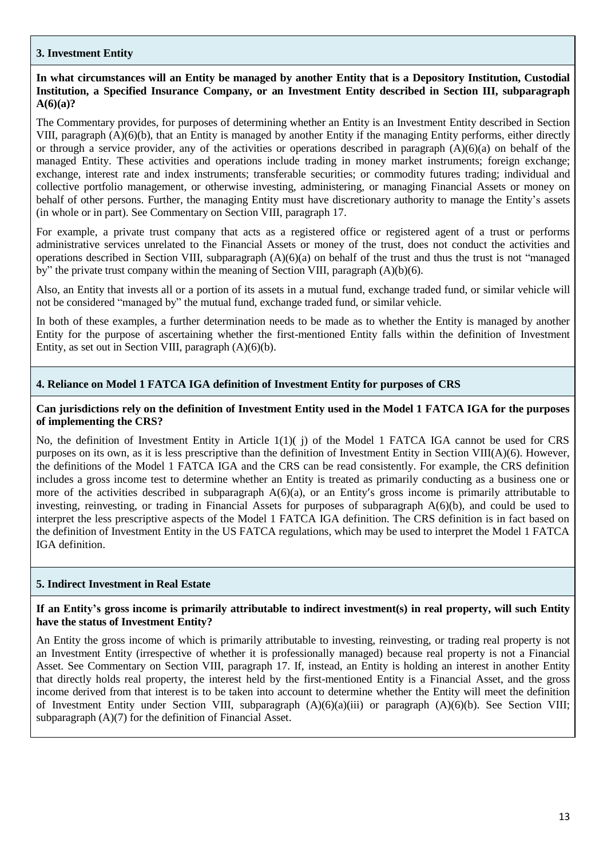## **3. Investment Entity**

# In what circumstances will an Entity be managed by another Entity that is a Depository Institution, Custodial **Institution, a Specified Insurance Company, or an Investment Entity described in Section III, subparagraph A(6)(a)?**

The Commentary provides, for purposes of determining whether an Entity is an Investment Entity described in Section VIII, paragraph (A)(6)(b), that an Entity is managed by another Entity if the managing Entity performs, either directly or through a service provider, any of the activities or operations described in paragraph  $(A)(6)(a)$  on behalf of the managed Entity. These activities and operations include trading in money market instruments; foreign exchange; exchange, interest rate and index instruments; transferable securities; or commodity futures trading; individual and collective portfolio management, or otherwise investing, administering, or managing Financial Assets or money on behalf of other persons. Further, the managing Entity must have discretionary authority to manage the Entity's assets (in whole or in part). See Commentary on Section VIII, paragraph 17.

For example, a private trust company that acts as a registered office or registered agent of a trust or performs administrative services unrelated to the Financial Assets or money of the trust, does not conduct the activities and operations described in Section VIII, subparagraph  $(A)(6)(a)$  on behalf of the trust and thus the trust is not "managed" by" the private trust company within the meaning of Section VIII, paragraph (A)(b)(6).

Also, an Entity that invests all or a portion of its assets in a mutual fund, exchange traded fund, or similar vehicle will not be considered "managed by" the mutual fund, exchange traded fund, or similar vehicle.

In both of these examples, a further determination needs to be made as to whether the Entity is managed by another Entity for the purpose of ascertaining whether the first-mentioned Entity falls within the definition of Investment Entity, as set out in Section VIII, paragraph (A)(6)(b).

## **4. Reliance on Model 1 FATCA IGA definition of Investment Entity for purposes of CRS**

## **Can jurisdictions rely on the definition of Investment Entity used in the Model 1 FATCA IGA for the purposes of implementing the CRS?**

No, the definition of Investment Entity in Article 1(1)( j) of the Model 1 FATCA IGA cannot be used for CRS purposes on its own, as it is less prescriptive than the definition of Investment Entity in Section VIII(A)(6). However, the definitions of the Model 1 FATCA IGA and the CRS can be read consistently. For example, the CRS definition includes a gross income test to determine whether an Entity is treated as primarily conducting as a business one or more of the activities described in subparagraph  $A(6)(a)$ , or an Entity's gross income is primarily attributable to investing, reinvesting, or trading in Financial Assets for purposes of subparagraph A(6)(b), and could be used to interpret the less prescriptive aspects of the Model 1 FATCA IGA definition. The CRS definition is in fact based on the definition of Investment Entity in the US FATCA regulations, which may be used to interpret the Model 1 FATCA IGA definition.

#### **5. Indirect Investment in Real Estate**

#### If an Entity's gross income is primarily attributable to indirect investment(s) in real property, will such Entity **have the status of Investment Entity?**

An Entity the gross income of which is primarily attributable to investing, reinvesting, or trading real property is not an Investment Entity (irrespective of whether it is professionally managed) because real property is not a Financial Asset. See Commentary on Section VIII, paragraph 17. If, instead, an Entity is holding an interest in another Entity that directly holds real property, the interest held by the first-mentioned Entity is a Financial Asset, and the gross income derived from that interest is to be taken into account to determine whether the Entity will meet the definition of Investment Entity under Section VIII, subparagraph (A)(6)(a)(iii) or paragraph (A)(6)(b). See Section VIII; subparagraph (A)(7) for the definition of Financial Asset.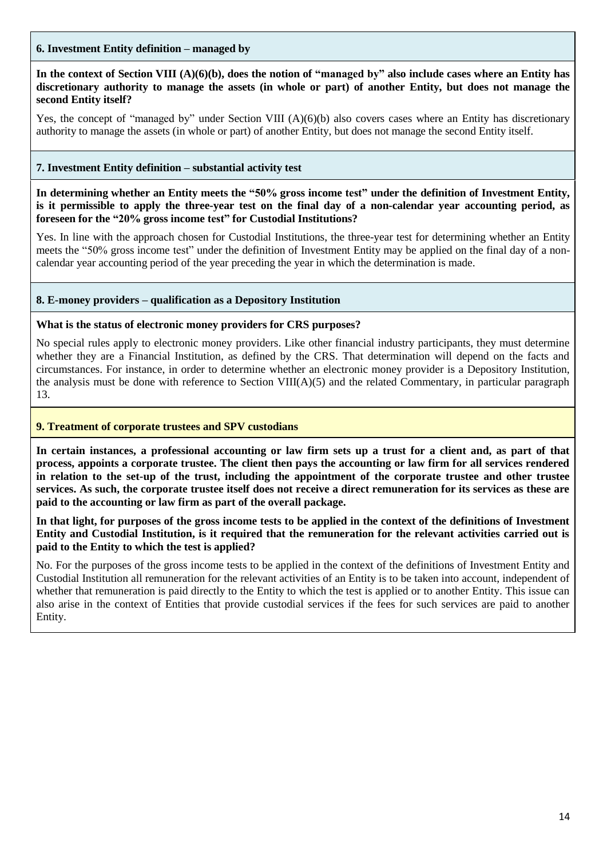## **6. Investment Entity definition – managed by**

In the context of Section VIII  $(A)(6)(b)$ , does the notion of "managed by" also include cases where an Entity has discretionary authority to manage the assets (in whole or part) of another Entity, but does not manage the **second Entity itself?**

Yes, the concept of "managed by" under Section VIII (A)(6)(b) also covers cases where an Entity has discretionary authority to manage the assets (in whole or part) of another Entity, but does not manage the second Entity itself.

## **7. Investment Entity definition – substantial activity test**

**In determining whether an Entity meets the "50% gross income test" under the definition of Investment Entity,** is it permissible to apply the three-year test on the final day of a non-calendar year accounting period, as **foreseen for the "20% gross income test" for Custodial Institutions?**

Yes. In line with the approach chosen for Custodial Institutions, the three-year test for determining whether an Entity meets the "50% gross income test" under the definition of Investment Entity may be applied on the final day of a noncalendar year accounting period of the year preceding the year in which the determination is made.

## **8. E-money providers – qualification as a Depository Institution**

#### **What is the status of electronic money providers for CRS purposes?**

No special rules apply to electronic money providers. Like other financial industry participants, they must determine whether they are a Financial Institution, as defined by the CRS. That determination will depend on the facts and circumstances. For instance, in order to determine whether an electronic money provider is a Depository Institution, the analysis must be done with reference to Section VIII( $A$ )(5) and the related Commentary, in particular paragraph 13.

#### **9. Treatment of corporate trustees and SPV custodians**

**In certain instances, a professional accounting or law firm sets up a trust for a client and, as part of that process, appoints a corporate trustee. The client then pays the accounting or law firm for all services rendered in relation to the set-up of the trust, including the appointment of the corporate trustee and other trustee services. As such, the corporate trustee itself does not receive a direct remuneration for its services as these are paid to the accounting or law firm as part of the overall package.**

**In that light, for purposes of the gross income tests to be applied in the context of the definitions of Investment Entity and Custodial Institution, is it required that the remuneration for the relevant activities carried out is paid to the Entity to which the test is applied?**

No. For the purposes of the gross income tests to be applied in the context of the definitions of Investment Entity and Custodial Institution all remuneration for the relevant activities of an Entity is to be taken into account, independent of whether that remuneration is paid directly to the Entity to which the test is applied or to another Entity. This issue can also arise in the context of Entities that provide custodial services if the fees for such services are paid to another Entity.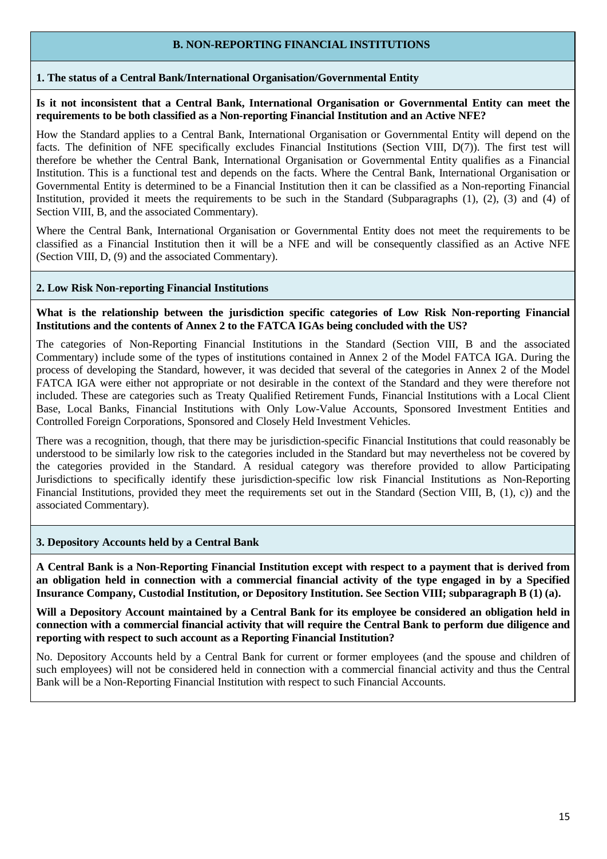## **B. NON-REPORTING FINANCIAL INSTITUTIONS**

#### **1. The status of a Central Bank/International Organisation/Governmental Entity**

**Is it not inconsistent that a Central Bank, International Organisation or Governmental Entity can meet the requirements to be both classified as a Non-reporting Financial Institution and an Active NFE?**

How the Standard applies to a Central Bank, International Organisation or Governmental Entity will depend on the facts. The definition of NFE specifically excludes Financial Institutions (Section VIII, D(7)). The first test will therefore be whether the Central Bank, International Organisation or Governmental Entity qualifies as a Financial Institution. This is a functional test and depends on the facts. Where the Central Bank, International Organisation or Governmental Entity is determined to be a Financial Institution then it can be classified as a Non-reporting Financial Institution, provided it meets the requirements to be such in the Standard (Subparagraphs (1), (2), (3) and (4) of Section VIII, B, and the associated Commentary).

Where the Central Bank, International Organisation or Governmental Entity does not meet the requirements to be classified as a Financial Institution then it will be a NFE and will be consequently classified as an Active NFE (Section VIII, D, (9) and the associated Commentary).

## **2. Low Risk Non-reporting Financial Institutions**

**What is the relationship between the jurisdiction specific categories of Low Risk Non-reporting Financial Institutions and the contents of Annex 2 to the FATCA IGAs being concluded with the US?**

The categories of Non-Reporting Financial Institutions in the Standard (Section VIII, B and the associated Commentary) include some of the types of institutions contained in Annex 2 of the Model FATCA IGA. During the process of developing the Standard, however, it was decided that several of the categories in Annex 2 of the Model FATCA IGA were either not appropriate or not desirable in the context of the Standard and they were therefore not included. These are categories such as Treaty Qualified Retirement Funds, Financial Institutions with a Local Client Base, Local Banks, Financial Institutions with Only Low-Value Accounts, Sponsored Investment Entities and Controlled Foreign Corporations, Sponsored and Closely Held Investment Vehicles.

There was a recognition, though, that there may be jurisdiction-specific Financial Institutions that could reasonably be understood to be similarly low risk to the categories included in the Standard but may nevertheless not be covered by the categories provided in the Standard. A residual category was therefore provided to allow Participating Jurisdictions to specifically identify these jurisdiction-specific low risk Financial Institutions as Non-Reporting Financial Institutions, provided they meet the requirements set out in the Standard (Section VIII, B, (1), c)) and the associated Commentary).

#### **3. Depository Accounts held by a Central Bank**

A Central Bank is a Non-Reporting Financial Institution except with respect to a payment that is derived from an obligation held in connection with a commercial financial activity of the type engaged in by a Specified **Insurance Company, Custodial Institution, or Depository Institution. See Section VIII; subparagraph B (1) (a).**

Will a Depository Account maintained by a Central Bank for its employee be considered an obligation held in **connection with a commercial financial activity that will require the Central Bank to perform due diligence and reporting with respect to such account as a Reporting Financial Institution?**

No. Depository Accounts held by a Central Bank for current or former employees (and the spouse and children of such employees) will not be considered held in connection with a commercial financial activity and thus the Central Bank will be a Non-Reporting Financial Institution with respect to such Financial Accounts.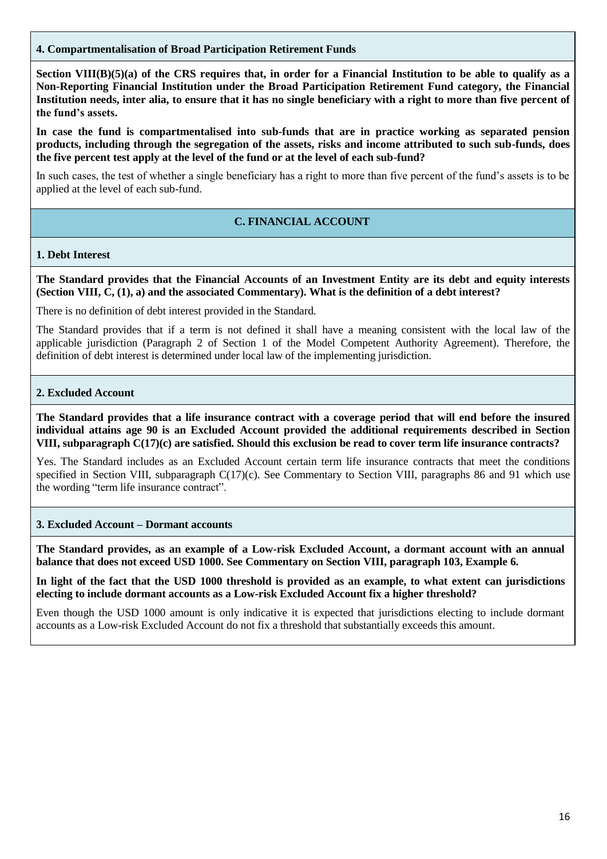## **4. Compartmentalisation of Broad Participation Retirement Funds**

**Section VIII(B)(5)(a) of the CRS requires that, in order for a Financial Institution to be able to qualify as a Non-Reporting Financial Institution under the Broad Participation Retirement Fund category, the Financial Institution needs, inter alia, to ensure that it has no single beneficiary with a right to more than five percent of the fund's assets.**

**In case the fund is compartmentalised into sub-funds that are in practice working as separated pension products, including through the segregation of the assets, risks and income attributed to such sub-funds, does the five percent test apply at the level of the fund or at the level of each sub-fund?**

In such cases, the test of whether a single beneficiary has a right to more than five percent of the fund's assets is to be applied at the level of each sub-fund.

# **C. FINANCIAL ACCOUNT**

#### **1. Debt Interest**

The Standard provides that the Financial Accounts of an Investment Entity are its debt and equity interests **(Section VIII, C, (1), a) and the associated Commentary). What is the definition of a debt interest?**

There is no definition of debt interest provided in the Standard.

The Standard provides that if a term is not defined it shall have a meaning consistent with the local law of the applicable jurisdiction (Paragraph 2 of Section 1 of the Model Competent Authority Agreement). Therefore, the definition of debt interest is determined under local law of the implementing jurisdiction.

#### **2. Excluded Account**

The Standard provides that a life insurance contract with a coverage period that will end before the insured **individual attains age 90 is an Excluded Account provided the additional requirements described in Section VIII, subparagraph C(17)(c) are satisfied. Should this exclusion be read to cover term life insurance contracts?**

Yes. The Standard includes as an Excluded Account certain term life insurance contracts that meet the conditions specified in Section VIII, subparagraph C(17)(c). See Commentary to Section VIII, paragraphs 86 and 91 which use the wording "term life insurance contract".

#### **3. Excluded Account – Dormant accounts**

**The Standard provides, as an example of a Low-risk Excluded Account, a dormant account with an annual balance that does not exceed USD 1000. See Commentary on Section VIII, paragraph 103, Example 6.**

In light of the fact that the USD 1000 threshold is provided as an example, to what extent can jurisdictions **electing to include dormant accounts as a Low-risk Excluded Account fix a higher threshold?**

Even though the USD 1000 amount is only indicative it is expected that jurisdictions electing to include dormant accounts as a Low-risk Excluded Account do not fix a threshold that substantially exceeds this amount.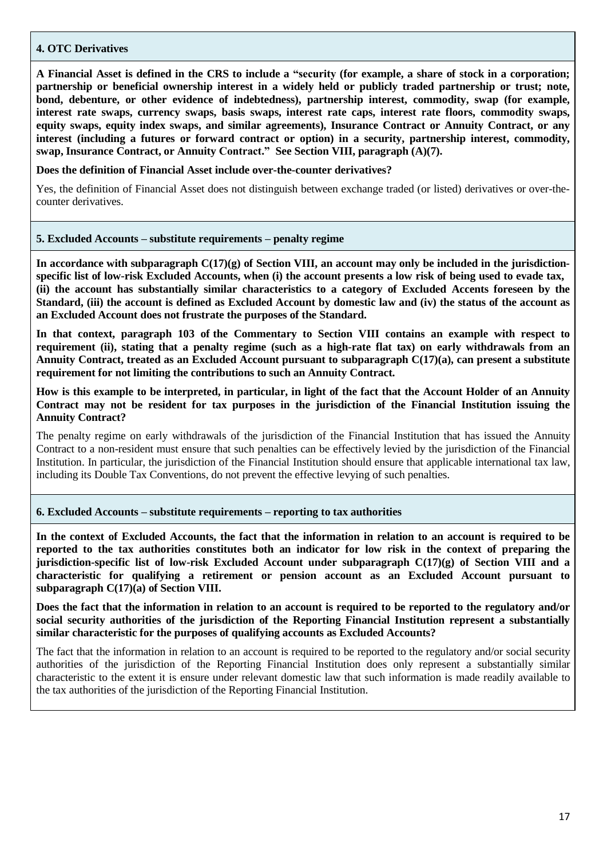#### **4. OTC Derivatives**

A Financial Asset is defined in the CRS to include a "security (for example, a share of stock in a corporation; **partnership or beneficial ownership interest in a widely held or publicly traded partnership or trust; note, bond, debenture, or other evidence of indebtedness), partnership interest, commodity, swap (for example, interest rate swaps, currency swaps, basis swaps, interest rate caps, interest rate floors, commodity swaps, equity swaps, equity index swaps, and similar agreements), Insurance Contract or Annuity Contract, or any interest (including a futures or forward contract or option) in a security, partnership interest, commodity, swap, Insurance Contract, or Annuity Contract." See Section VIII, paragraph (A)(7).**

**Does the definition of Financial Asset include over-the-counter derivatives?**

Yes, the definition of Financial Asset does not distinguish between exchange traded (or listed) derivatives or over-thecounter derivatives.

#### **5. Excluded Accounts – substitute requirements – penalty regime**

**In accordance with subparagraph C(17)(g) of Section VIII, an account may only be included in the jurisdiction**specific list of low-risk Excluded Accounts, when (i) the account presents a low risk of being used to evade tax, **(ii) the account has substantially similar characteristics to a category of Excluded Accents foreseen by the** Standard, (iii) the account is defined as Excluded Account by domestic law and (iv) the status of the account as **an Excluded Account does not frustrate the purposes of the Standard.**

**In that context, paragraph 103 of the Commentary to Section VIII contains an example with respect to** requirement (ii), stating that a penalty regime (such as a high-rate flat tax) on early withdrawals from an **Annuity Contract, treated as an Excluded Account pursuant to subparagraph C(17)(a), can present a substitute requirement for not limiting the contributions to such an Annuity Contract.**

How is this example to be interpreted, in particular, in light of the fact that the Account Holder of an Annuity Contract may not be resident for tax purposes in the jurisdiction of the Financial Institution issuing the **Annuity Contract?**

The penalty regime on early withdrawals of the jurisdiction of the Financial Institution that has issued the Annuity Contract to a non-resident must ensure that such penalties can be effectively levied by the jurisdiction of the Financial Institution. In particular, the jurisdiction of the Financial Institution should ensure that applicable international tax law, including its Double Tax Conventions, do not prevent the effective levying of such penalties.

#### **6. Excluded Accounts – substitute requirements – reporting to tax authorities**

In the context of Excluded Accounts, the fact that the information in relation to an account is required to be reported to the tax authorities constitutes both an indicator for low risk in the context of preparing the **jurisdiction-specific list of low-risk Excluded Account under subparagraph C(17)(g) of Section VIII and a characteristic for qualifying a retirement or pension account as an Excluded Account pursuant to subparagraph C(17)(a) of Section VIII.**

Does the fact that the information in relation to an account is required to be reported to the regulatory and/or **social security authorities of the jurisdiction of the Reporting Financial Institution represent a substantially similar characteristic for the purposes of qualifying accounts as Excluded Accounts?**

The fact that the information in relation to an account is required to be reported to the regulatory and/or social security authorities of the jurisdiction of the Reporting Financial Institution does only represent a substantially similar characteristic to the extent it is ensure under relevant domestic law that such information is made readily available to the tax authorities of the jurisdiction of the Reporting Financial Institution.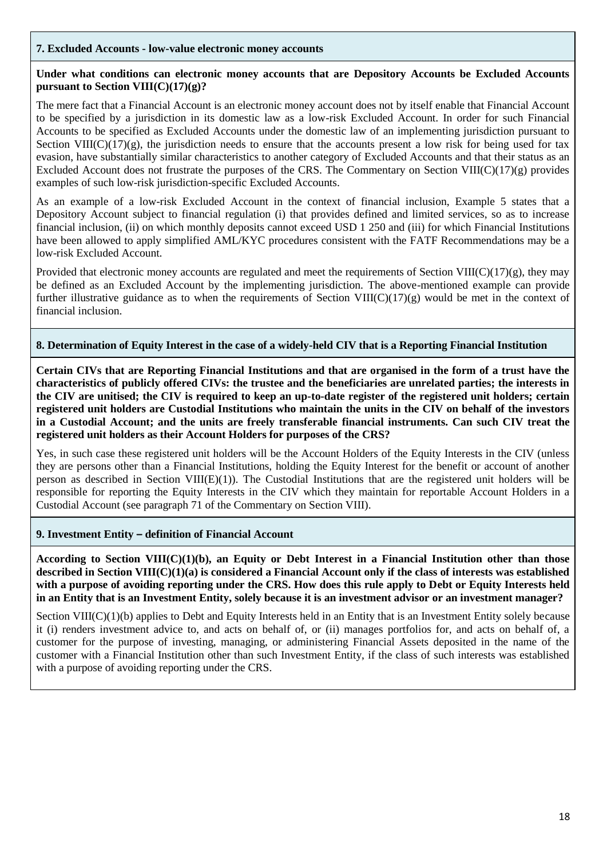#### **7. Excluded Accounts - low-value electronic money accounts**

## **Under what conditions can electronic money accounts that are Depository Accounts be Excluded Accounts pursuant to Section VIII(C)(17)(g)?**

The mere fact that a Financial Account is an electronic money account does not by itself enable that Financial Account to be specified by a jurisdiction in its domestic law as a low-risk Excluded Account. In order for such Financial Accounts to be specified as Excluded Accounts under the domestic law of an implementing jurisdiction pursuant to Section VIII( $C(17)(g)$ , the jurisdiction needs to ensure that the accounts present a low risk for being used for tax evasion, have substantially similar characteristics to another category of Excluded Accounts and that their status as an Excluded Account does not frustrate the purposes of the CRS. The Commentary on Section VIII(C)(17)(g) provides examples of such low-risk jurisdiction-specific Excluded Accounts.

As an example of a low-risk Excluded Account in the context of financial inclusion, Example 5 states that a Depository Account subject to financial regulation (i) that provides defined and limited services, so as to increase financial inclusion, (ii) on which monthly deposits cannot exceed USD 1 250 and (iii) for which Financial Institutions have been allowed to apply simplified AML/KYC procedures consistent with the FATF Recommendations may be a low-risk Excluded Account.

Provided that electronic money accounts are regulated and meet the requirements of Section VIII( $C(17)(g)$ , they may be defined as an Excluded Account by the implementing jurisdiction. The above-mentioned example can provide further illustrative guidance as to when the requirements of Section VIII( $C(17)(g)$  would be met in the context of financial inclusion.

#### **8. Determination of Equity Interest in the case of a widely-held CIV that is a Reporting Financial Institution**

**Certain CIVs that are Reporting Financial Institutions and that are organised in the form of a trust have the characteristics of publicly offered CIVs: the trustee and the beneficiaries are unrelated parties; the interests in the CIV are unitised; the CIV is required to keep an up-to-date register of the registered unit holders; certain registered unit holders are Custodial Institutions who maintain the units in the CIV on behalf of the investors in a Custodial Account; and the units are freely transferable financial instruments. Can such CIV treat the registered unit holders as their Account Holders for purposes of the CRS?** 

Yes, in such case these registered unit holders will be the Account Holders of the Equity Interests in the CIV (unless they are persons other than a Financial Institutions, holding the Equity Interest for the benefit or account of another person as described in Section VIII(E)(1)). The Custodial Institutions that are the registered unit holders will be responsible for reporting the Equity Interests in the CIV which they maintain for reportable Account Holders in a Custodial Account (see paragraph 71 of the Commentary on Section VIII).

#### **9. Investment Entity – definition of Financial Account**

**According to Section VIII(C)(1)(b), an Equity or Debt Interest in a Financial Institution other than those described in Section VIII(C)(1)(a) is considered a Financial Account only if the class of interests was established with a purpose of avoiding reporting under the CRS. How does this rule apply to Debt or Equity Interests held in an Entity that is an Investment Entity, solely because it is an investment advisor or an investment manager?**

Section VIII(C)(1)(b) applies to Debt and Equity Interests held in an Entity that is an Investment Entity solely because it (i) renders investment advice to, and acts on behalf of, or (ii) manages portfolios for, and acts on behalf of, a customer for the purpose of investing, managing, or administering Financial Assets deposited in the name of the customer with a Financial Institution other than such Investment Entity, if the class of such interests was established with a purpose of avoiding reporting under the CRS.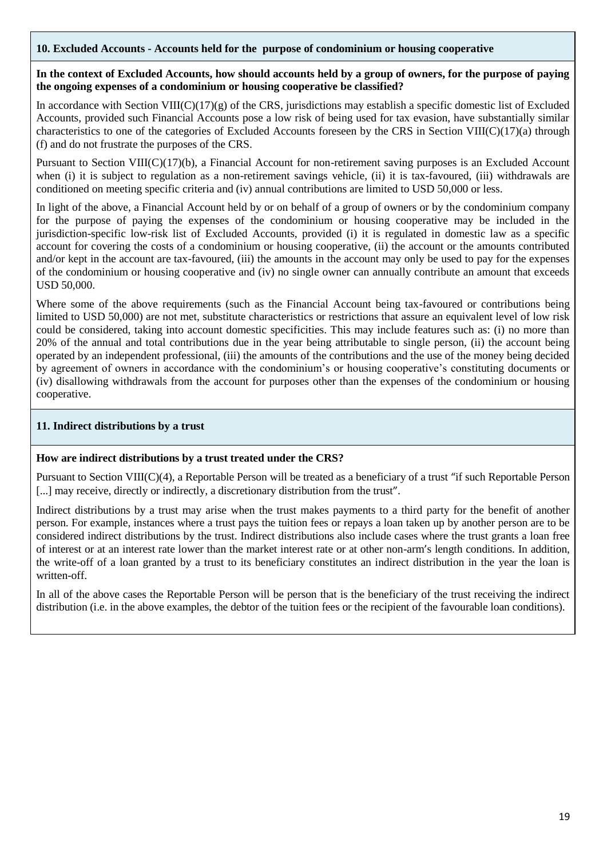## **10. Excluded Accounts - Accounts held for the purpose of condominium or housing cooperative**

## **In the context of Excluded Accounts, how should accounts held by a group of owners, for the purpose of paying the ongoing expenses of a condominium or housing cooperative be classified?**

In accordance with Section VIII( $C$ )(17)(g) of the CRS, jurisdictions may establish a specific domestic list of Excluded Accounts, provided such Financial Accounts pose a low risk of being used for tax evasion, have substantially similar characteristics to one of the categories of Excluded Accounts foreseen by the CRS in Section VIII( $C(17)(a)$  through (f) and do not frustrate the purposes of the CRS.

Pursuant to Section VIII(C)(17)(b), a Financial Account for non-retirement saving purposes is an Excluded Account when (i) it is subject to regulation as a non-retirement savings vehicle, (ii) it is tax-favoured, (iii) withdrawals are conditioned on meeting specific criteria and (iv) annual contributions are limited to USD 50,000 or less.

In light of the above, a Financial Account held by or on behalf of a group of owners or by the condominium company for the purpose of paying the expenses of the condominium or housing cooperative may be included in the jurisdiction-specific low-risk list of Excluded Accounts, provided (i) it is regulated in domestic law as a specific account for covering the costs of a condominium or housing cooperative, (ii) the account or the amounts contributed and/or kept in the account are tax-favoured, (iii) the amounts in the account may only be used to pay for the expenses of the condominium or housing cooperative and (iv) no single owner can annually contribute an amount that exceeds USD 50,000.

Where some of the above requirements (such as the Financial Account being tax-favoured or contributions being limited to USD 50,000) are not met, substitute characteristics or restrictions that assure an equivalent level of low risk could be considered, taking into account domestic specificities. This may include features such as: (i) no more than 20% of the annual and total contributions due in the year being attributable to single person, (ii) the account being operated by an independent professional, (iii) the amounts of the contributions and the use of the money being decided by agreement of owners in accordance with the condominium's or housing cooperative's constituting documents or (iv) disallowing withdrawals from the account for purposes other than the expenses of the condominium or housing cooperative.

# **11. Indirect distributions by a trust**

# **How are indirect distributions by a trust treated under the CRS?**

Pursuant to Section VIII(C)(4), a Reportable Person will be treated as a beneficiary of a trust "if such Reportable Person [...] may receive, directly or indirectly, a discretionary distribution from the trust".

Indirect distributions by a trust may arise when the trust makes payments to a third party for the benefit of another person. For example, instances where a trust pays the tuition fees or repays a loan taken up by another person are to be considered indirect distributions by the trust. Indirect distributions also include cases where the trust grants a loan free of interest or at an interest rate lower than the market interest rate or at other non-arm's length conditions. In addition, the write-off of a loan granted by a trust to its beneficiary constitutes an indirect distribution in the year the loan is written-off.

In all of the above cases the Reportable Person will be person that is the beneficiary of the trust receiving the indirect distribution (i.e. in the above examples, the debtor of the tuition fees or the recipient of the favourable loan conditions).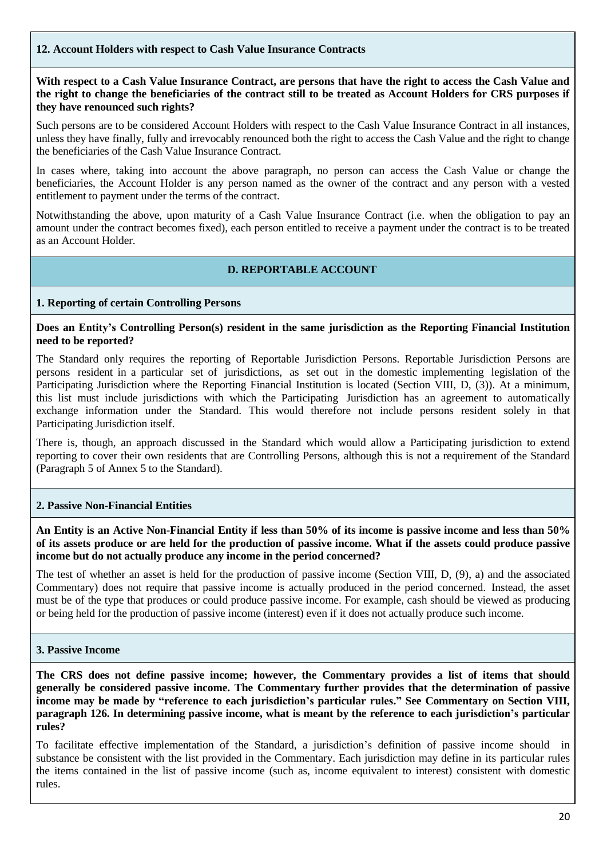# **12. Account Holders with respect to Cash Value Insurance Contracts**

**With respect to a Cash Value Insurance Contract, are persons that have the right to access the Cash Value and the right to change the beneficiaries of the contract still to be treated as Account Holders for CRS purposes if they have renounced such rights?**

Such persons are to be considered Account Holders with respect to the Cash Value Insurance Contract in all instances, unless they have finally, fully and irrevocably renounced both the right to access the Cash Value and the right to change the beneficiaries of the Cash Value Insurance Contract.

In cases where, taking into account the above paragraph, no person can access the Cash Value or change the beneficiaries, the Account Holder is any person named as the owner of the contract and any person with a vested entitlement to payment under the terms of the contract.

Notwithstanding the above, upon maturity of a Cash Value Insurance Contract (i.e. when the obligation to pay an amount under the contract becomes fixed), each person entitled to receive a payment under the contract is to be treated as an Account Holder.

# **D. REPORTABLE ACCOUNT**

## **1. Reporting of certain Controlling Persons**

## **Does an Entity's Controlling Person(s) resident in the same jurisdiction as the Reporting Financial Institution need to be reported?**

The Standard only requires the reporting of Reportable Jurisdiction Persons. Reportable Jurisdiction Persons are persons resident in a particular set of jurisdictions, as set out in the domestic implementing legislation of the Participating Jurisdiction where the Reporting Financial Institution is located (Section VIII, D, (3)). At a minimum, this list must include jurisdictions with which the Participating Jurisdiction has an agreement to automatically exchange information under the Standard. This would therefore not include persons resident solely in that Participating Jurisdiction itself.

There is, though, an approach discussed in the Standard which would allow a Participating jurisdiction to extend reporting to cover their own residents that are Controlling Persons, although this is not a requirement of the Standard (Paragraph 5 of Annex 5 to the Standard).

#### **2. Passive Non-Financial Entities**

An Entity is an Active Non-Financial Entity if less than 50% of its income is passive income and less than 50% of its assets produce or are held for the production of passive income. What if the assets could produce passive **income but do not actually produce any income in the period concerned?**

The test of whether an asset is held for the production of passive income (Section VIII, D, (9), a) and the associated Commentary) does not require that passive income is actually produced in the period concerned. Instead, the asset must be of the type that produces or could produce passive income. For example, cash should be viewed as producing or being held for the production of passive income (interest) even if it does not actually produce such income.

#### **3. Passive Income**

**The CRS does not define passive income; however, the Commentary provides a list of items that should generally be considered passive income. The Commentary further provides that the determination of passive income may be made by "reference to each jurisdiction's particular rules." See Commentary on Section VIII, paragraph 126. In determining passive income, what is meant by the reference to each jurisdiction's particular rules?**

To facilitate effective implementation of the Standard, a jurisdiction's definition of passive income should in substance be consistent with the list provided in the Commentary. Each jurisdiction may define in its particular rules the items contained in the list of passive income (such as, income equivalent to interest) consistent with domestic rules.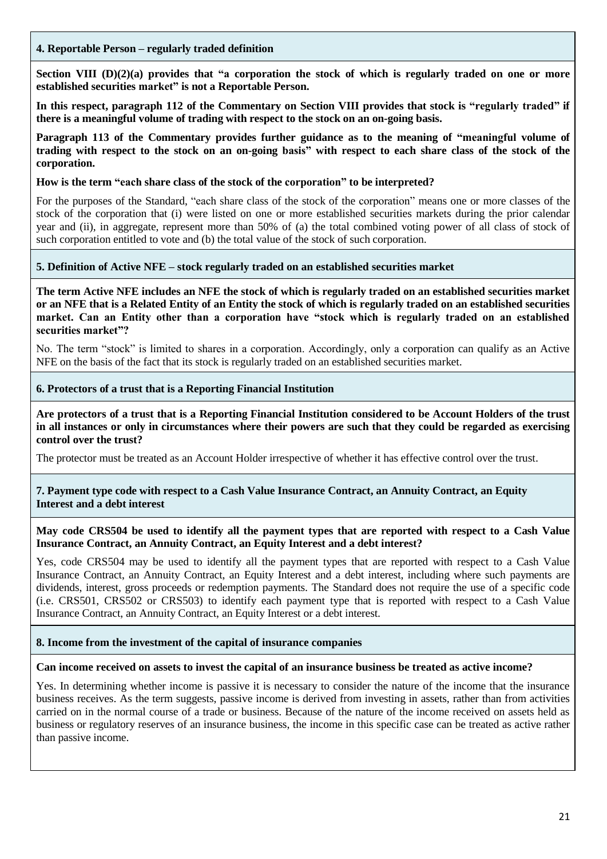## **4. Reportable Person – regularly traded definition**

Section VIII  $(D)(2)(a)$  provides that "a corporation the stock of which is regularly traded on one or more **established securities market" is not a Reportable Person.**

In this respect, paragraph 112 of the Commentary on Section VIII provides that stock is "regularly traded" if **there is a meaningful volume of trading with respect to the stock on an on-going basis.**

**Paragraph 113 of the Commentary provides further guidance as to the meaning of "meaningful volume of** trading with respect to the stock on an on-going basis" with respect to each share class of the stock of the **corporation.**

## **How is the term "each share class of the stock of the corporation" to be interpreted?**

For the purposes of the Standard, "each share class of the stock of the corporation" means one or more classes of the stock of the corporation that (i) were listed on one or more established securities markets during the prior calendar year and (ii), in aggregate, represent more than 50% of (a) the total combined voting power of all class of stock of such corporation entitled to vote and (b) the total value of the stock of such corporation.

# **5. Definition of Active NFE – stock regularly traded on an established securities market**

**The term Active NFE includes an NFE the stock of which is regularly traded on an established securities market or an NFE that is a Related Entity of an Entity the stock of which is regularly traded on an established securities market. Can an Entity other than a corporation have "stock which is regularly traded on an established securities market"?**

No. The term "stock" is limited to shares in a corporation. Accordingly, only a corporation can qualify as an Active NFE on the basis of the fact that its stock is regularly traded on an established securities market.

## **6. Protectors of a trust that is a Reporting Financial Institution**

Are protectors of a trust that is a Reporting Financial Institution considered to be Account Holders of the trust in all instances or only in circumstances where their powers are such that they could be regarded as exercising **control over the trust?**

The protector must be treated as an Account Holder irrespective of whether it has effective control over the trust.

#### **7. Payment type code with respect to a Cash Value Insurance Contract, an Annuity Contract, an Equity Interest and a debt interest**

#### May code CRS504 be used to identify all the payment types that are reported with respect to a Cash Value **Insurance Contract, an Annuity Contract, an Equity Interest and a debt interest?**

Yes, code CRS504 may be used to identify all the payment types that are reported with respect to a Cash Value Insurance Contract, an Annuity Contract, an Equity Interest and a debt interest, including where such payments are dividends, interest, gross proceeds or redemption payments. The Standard does not require the use of a specific code (i.e. CRS501, CRS502 or CRS503) to identify each payment type that is reported with respect to a Cash Value Insurance Contract, an Annuity Contract, an Equity Interest or a debt interest.

#### **8. Income from the investment of the capital of insurance companies**

#### **Can income received on assets to invest the capital of an insurance business be treated as active income?**

Yes. In determining whether income is passive it is necessary to consider the nature of the income that the insurance business receives. As the term suggests, passive income is derived from investing in assets, rather than from activities carried on in the normal course of a trade or business. Because of the nature of the income received on assets held as business or regulatory reserves of an insurance business, the income in this specific case can be treated as active rather than passive income.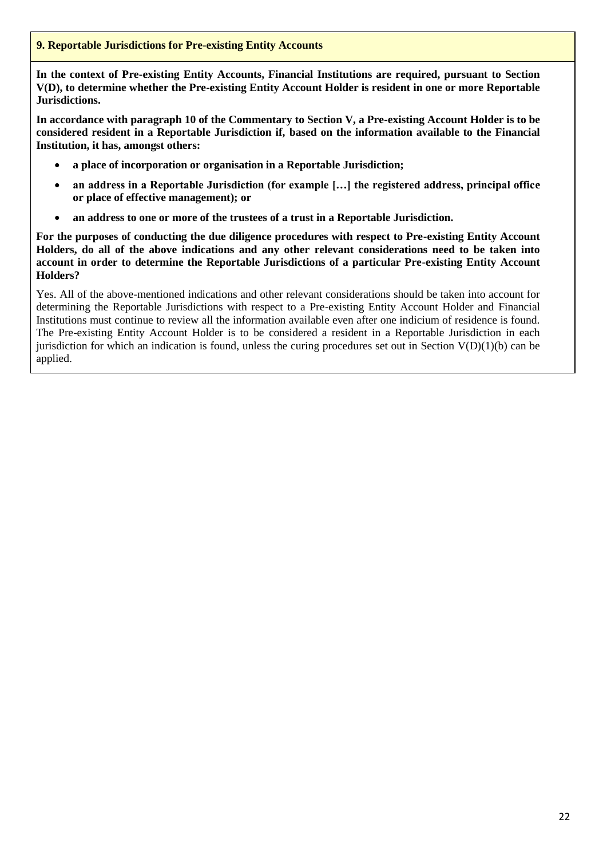# **9. Reportable Jurisdictions for Pre-existing Entity Accounts**

**In the context of Pre-existing Entity Accounts, Financial Institutions are required, pursuant to Section V(D), to determine whether the Pre-existing Entity Account Holder is resident in one or more Reportable Jurisdictions.**

**In accordance with paragraph 10 of the Commentary to Section V, a Pre-existing Account Holder is to be considered resident in a Reportable Jurisdiction if, based on the information available to the Financial Institution, it has, amongst others:**

- **a place of incorporation or organisation in a Reportable Jurisdiction;**
- **an address in a Reportable Jurisdiction (for example […] the registered address, principal office or place of effective management); or**
- **an address to one or more of the trustees of a trust in a Reportable Jurisdiction.**

**For the purposes of conducting the due diligence procedures with respect to Pre-existing Entity Account Holders, do all of the above indications and any other relevant considerations need to be taken into account in order to determine the Reportable Jurisdictions of a particular Pre-existing Entity Account Holders?**

Yes. All of the above-mentioned indications and other relevant considerations should be taken into account for determining the Reportable Jurisdictions with respect to a Pre-existing Entity Account Holder and Financial Institutions must continue to review all the information available even after one indicium of residence is found. The Pre-existing Entity Account Holder is to be considered a resident in a Reportable Jurisdiction in each jurisdiction for which an indication is found, unless the curing procedures set out in Section  $V(D)(1)(b)$  can be applied.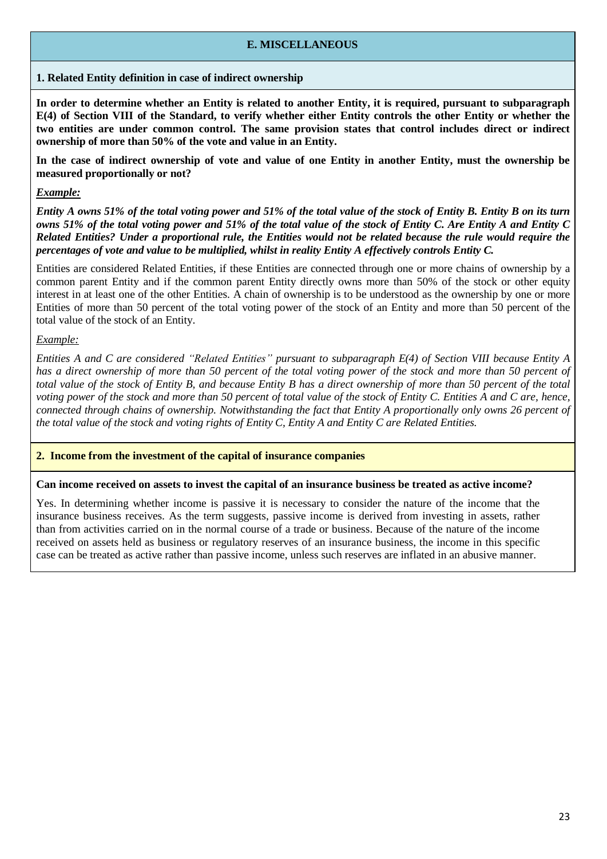## **E. MISCELLANEOUS**

**1. Related Entity definition in case of indirect ownership**

In order to determine whether an Entity is related to another Entity, it is required, pursuant to subparagraph E(4) of Section VIII of the Standard, to verify whether either Entity controls the other Entity or whether the **two entities are under common control. The same provision states that control includes direct or indirect ownership of more than 50% of the vote and value in an Entity.**

In the case of indirect ownership of vote and value of one Entity in another Entity, must the ownership be **measured proportionally or not?**

# *Example:*

Entity A owns 51% of the total voting power and 51% of the total value of the stock of Entity B. Entity B on its turn owns 51% of the total voting power and 51% of the total value of the stock of Entity C. Are Entity A and Entity C Related Entities? Under a proportional rule, the Entities would not be related because the rule would require the *percentages of vote and value to be multiplied, whilst in reality Entity A effectively controls Entity C.*

Entities are considered Related Entities, if these Entities are connected through one or more chains of ownership by a common parent Entity and if the common parent Entity directly owns more than 50% of the stock or other equity interest in at least one of the other Entities. A chain of ownership is to be understood as the ownership by one or more Entities of more than 50 percent of the total voting power of the stock of an Entity and more than 50 percent of the total value of the stock of an Entity.

*Example:*

Entities A and C are considered "Related Entities" pursuant to subparagraph E(4) of Section VIII because Entity A has a direct ownership of more than 50 percent of the total voting power of the stock and more than 50 percent of total value of the stock of Entity B, and because Entity B has a direct ownership of more than 50 percent of the total voting power of the stock and more than 50 percent of total value of the stock of Entity C. Entities A and C are, hence, connected through chains of ownership. Notwithstanding the fact that Entity A proportionally only owns 26 percent of the total value of the stock and voting rights of Entity C, Entity A and Entity C are Related Entities.

#### **2. Income from the investment of the capital of insurance companies**

#### **Can income received on assets to invest the capital of an insurance business be treated as active income?**

Yes. In determining whether income is passive it is necessary to consider the nature of the income that the insurance business receives. As the term suggests, passive income is derived from investing in assets, rather than from activities carried on in the normal course of a trade or business. Because of the nature of the income received on assets held as business or regulatory reserves of an insurance business, the income in this specific case can be treated as active rather than passive income, unless such reserves are inflated in an abusive manner.